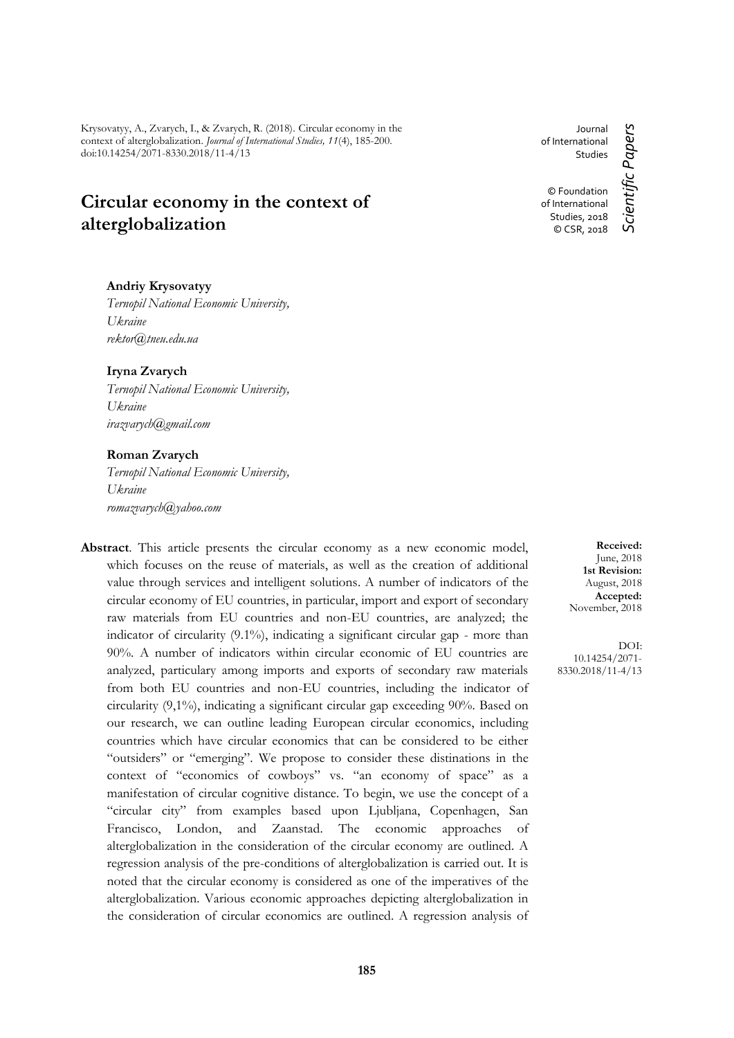Krysovatyy, A., Zvarych, I., & Zvarych, R. (2018). Сircular economy in the context of alterglobalization. *Journal of International Studies, 11*(4), 185-200. doi:10.14254/2071-8330.2018/11-4/13

# **Сircular economy in the context of alterglobalization**

Journal of International Studies © Foundation of International Studies, 2018

### **Andriy Krysovatyy**

*Ternopil National Economic University, Ukraine rektor@tneu.edu.ua*

**Iryna Zvarych** 

*Ternopil National Economic University, Ukraine [irazvarych@gmail.com](mailto:irazvarych@gmail.com)*

# **Roman Zvarych**

*Ternopil National Economic University, Ukraine [romazvarych@yahoo.com](mailto:romazvarych@yahoo.com)*

**Abstract**. This article presents the circular economy as a new economic model, which focuses on the reuse of materials, as well as the creation of additional value through services and intelligent solutions. A number of indicators of the circular economy of EU countries, in particular, import and export of secondary raw materials from EU countries and non-EU countries, are analyzed; the indicator of circularity (9.1%), indicating a significant circular gap - more than 90%. A number of indicators within circular economic of EU countries are analyzed, particulary among imports and exports of secondary raw materials from both EU countries and non-EU countries, including the indicator of circularity (9,1%), indicating a significant circular gap exceeding 90%. Based on our research, we can outline leading European circular economics, including countries which have circular economics that can be considered to be either "outsiders" or "emerging". We propose to consider these distinations in the context of "economics of cowboys" vs. "an economy of space" as a manifestation of circular cognitive distance. To begin, we use the concept of a "circular city" from examples based upon Ljubljana, Copenhagen, San Francisco, London, and Zaanstad. The economic approaches of alterglobalization in the consideration of the circular economy are outlined. A regression analysis of the pre-conditions of alterglobalization is carried out. It is noted that the circular economy is considered as one of the imperatives of the alterglobalization. Various economic approaches depicting alterglobalization in the consideration of circular economics are outlined. A regression analysis of

**Received:** June, 2018 **1st Revision:** August, 2018 **Accepted:** November, 2018

DOI: 10.14254/2071- 8330.2018/11-4/13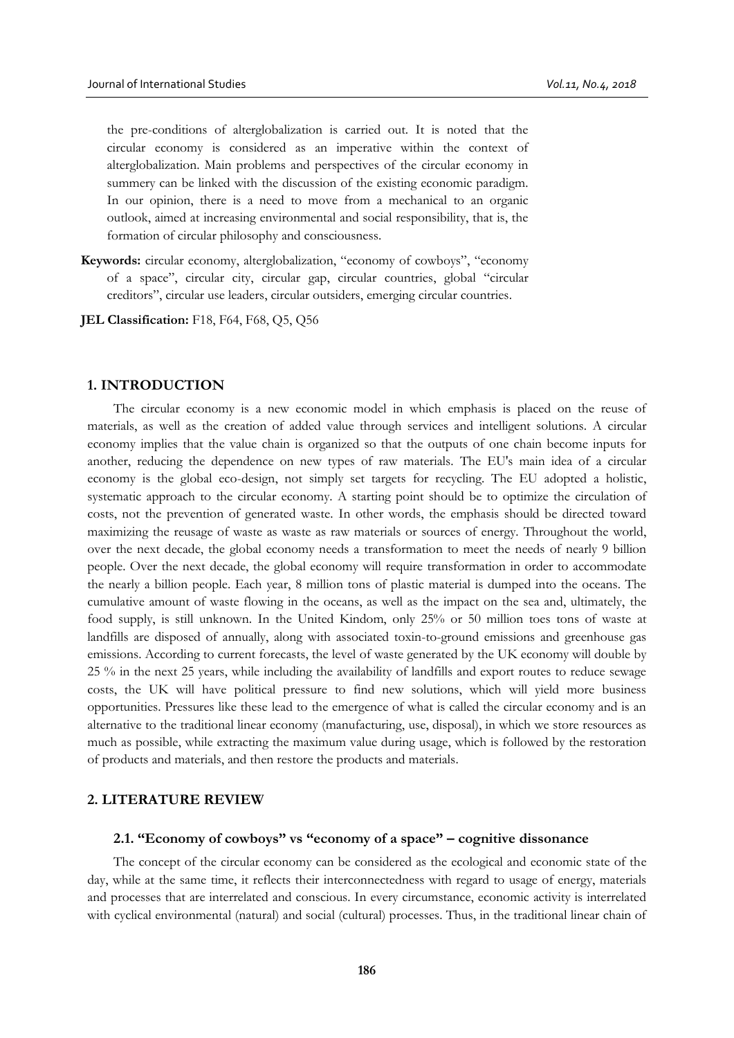the pre-conditions of alterglobalization is carried out. It is noted that the circular economy is considered as an imperative within the context of alterglobalization. Main problems and perspectives of the circular economy in summery can be linked with the discussion of the existing economic paradigm. In our opinion, there is a need to move from a mechanical to an organic outlook, aimed at increasing environmental and social responsibility, that is, the formation of circular philosophy and consciousness.

**Keywords:** circular economy, alterglobalization, "economy of cowboys", "economy of a space", circular city, circular gap, circular countries, global "circular creditors", circular use leaders, circular outsiders, emerging circular countries.

**JEL Classification:** F18, F64, F68, Q5, Q56

# **1. INTRODUCTION**

The circular economy is a new economic model in which emphasis is placed on the reuse of materials, as well as the creation of added value through services and intelligent solutions. A circular economy implies that the value chain is organized so that the outputs of one chain become inputs for another, reducing the dependence on new types of raw materials. The EU's main idea of a circular economy is the global eco-design, not simply set targets for recycling. The EU adopted a holistic, systematic approach to the circular economy. A starting point should be to optimize the circulation of costs, not the prevention of generated waste. In other words, the emphasis should be directed toward maximizing the reusage of waste as waste as raw materials or sources of energy. Throughout the world, over the next decade, the global economy needs a transformation to meet the needs of nearly 9 billion people. Over the next decade, the global economy will require transformation in order to accommodate the nearly a billion people. Each year, 8 million tons of plastic material is dumped into the oceans. The cumulative amount of waste flowing in the oceans, as well as the impact on the sea and, ultimately, the food supply, is still unknown. In the United Kindom, only 25% or 50 million toes tons of waste at landfills are disposed of annually, along with associated toxin-to-ground emissions and greenhouse gas emissions. According to current forecasts, the level of waste generated by the UK economy will double by 25 % in the next 25 years, while including the availability of landfills and export routes to reduce sewage costs, the UK will have political pressure to find new solutions, which will yield more business opportunities. Pressures like these lead to the emergence of what is called the circular economy and is an alternative to the traditional linear economy (manufacturing, use, disposal), in which we store resources as much as possible, while extracting the maximum value during usage, which is followed by the restoration of products and materials, and then restore the products and materials.

## **2. LITERATURE REVIEW**

#### **2.1. "Economy of cowboys" vs "economy of a space" – cognitive dissonance**

The concept of the circular economy can be considered as the ecological and economic state of the day, while at the same time, it reflects their interconnectedness with regard to usage of energy, materials and processes that are interrelated and conscious. In every circumstance, economic activity is interrelated with cyclical environmental (natural) and social (cultural) processes. Thus, in the traditional linear chain of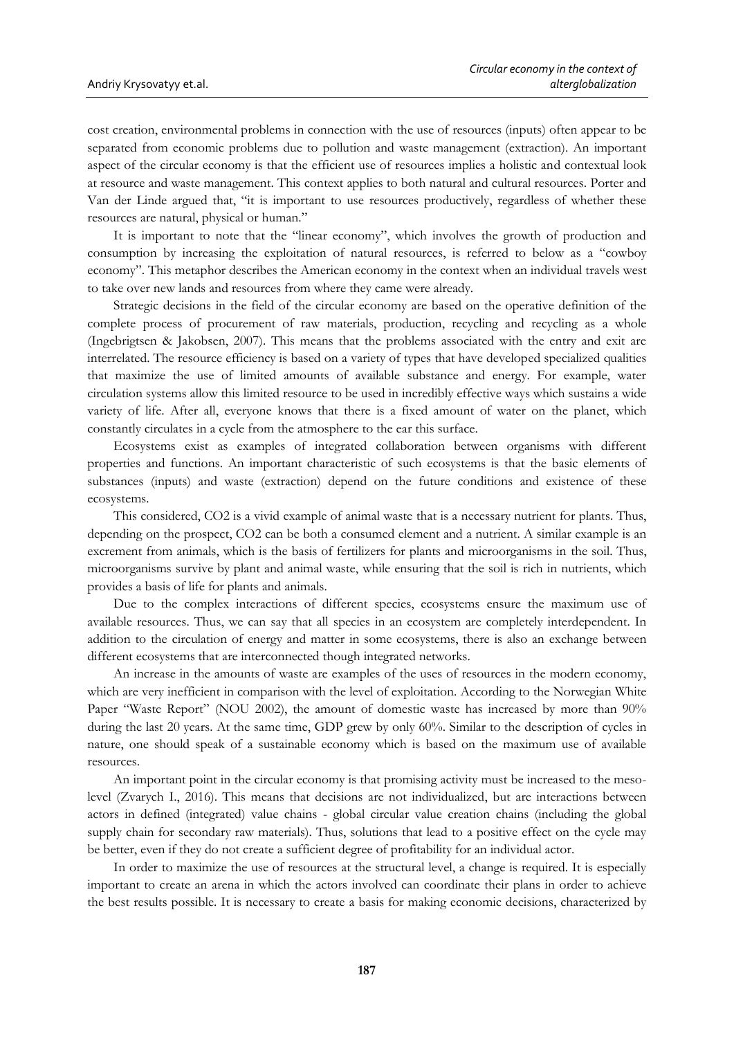cost creation, environmental problems in connection with the use of resources (inputs) often appear to be separated from economic problems due to pollution and waste management (extraction). An important aspect of the circular economy is that the efficient use of resources implies a holistic and contextual look at resource and waste management. This context applies to both natural and cultural resources. Porter and Van der Linde argued that, "it is important to use resources productively, regardless of whether these resources are natural, physical or human."

It is important to note that the "linear economy", which involves the growth of production and consumption by increasing the exploitation of natural resources, is referred to below as a "cowboy economy". This metaphor describes the American economy in the context when an individual travels west to take over new lands and resources from where they came were already.

Strategic decisions in the field of the circular economy are based on the operative definition of the complete process of procurement of raw materials, production, recycling and recycling as a whole (Ingebrigtsen & Jakobsen, 2007). This means that the problems associated with the entry and exit are interrelated. The resource efficiency is based on a variety of types that have developed specialized qualities that maximize the use of limited amounts of available substance and energy. For example, water circulation systems allow this limited resource to be used in incredibly effective ways which sustains a wide variety of life. After all, everyone knows that there is a fixed amount of water on the planet, which constantly circulates in a cycle from the atmosphere to the ear this surface.

Ecosystems exist as examples of integrated collaboration between organisms with different properties and functions. An important characteristic of such ecosystems is that the basic elements of substances (inputs) and waste (extraction) depend on the future conditions and existence of these ecosystems.

This considered, CO2 is a vivid example of animal waste that is a necessary nutrient for plants. Thus, depending on the prospect, CO2 can be both a consumed element and a nutrient. A similar example is an excrement from animals, which is the basis of fertilizers for plants and microorganisms in the soil. Thus, microorganisms survive by plant and animal waste, while ensuring that the soil is rich in nutrients, which provides a basis of life for plants and animals.

Due to the complex interactions of different species, ecosystems ensure the maximum use of available resources. Thus, we can say that all species in an ecosystem are completely interdependent. In addition to the circulation of energy and matter in some ecosystems, there is also an exchange between different ecosystems that are interconnected though integrated networks.

An increase in the amounts of waste are examples of the uses of resources in the modern economy, which are very inefficient in comparison with the level of exploitation. According to the Norwegian White Paper "Waste Report" (NOU 2002), the amount of domestic waste has increased by more than 90% during the last 20 years. At the same time, GDP grew by only 60%. Similar to the description of cycles in nature, one should speak of a sustainable economy which is based on the maximum use of available resources.

An important point in the circular economy is that promising activity must be increased to the mesolevel (Zvarych I., 2016). This means that decisions are not individualized, but are interactions between actors in defined (integrated) value chains - global circular value creation chains (including the global supply chain for secondary raw materials). Thus, solutions that lead to a positive effect on the cycle may be better, even if they do not create a sufficient degree of profitability for an individual actor.

In order to maximize the use of resources at the structural level, a change is required. It is especially important to create an arena in which the actors involved can coordinate their plans in order to achieve the best results possible. It is necessary to create a basis for making economic decisions, characterized by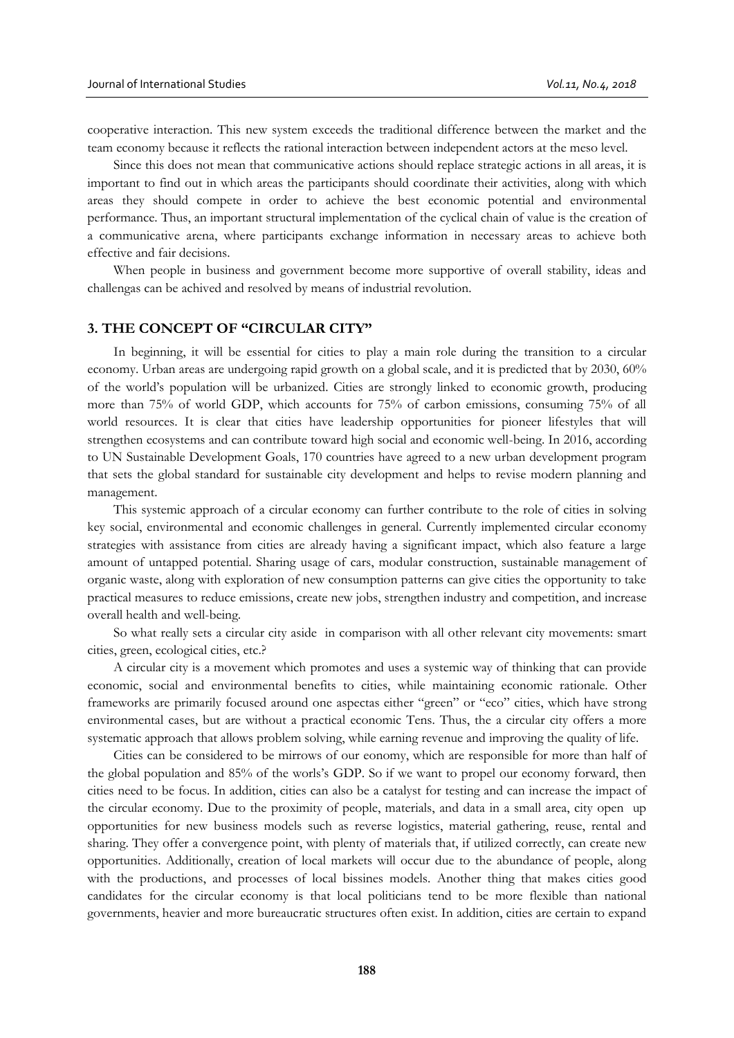cooperative interaction. This new system exceeds the traditional difference between the market and the team economy because it reflects the rational interaction between independent actors at the meso level.

Since this does not mean that communicative actions should replace strategic actions in all areas, it is important to find out in which areas the participants should coordinate their activities, along with which areas they should compete in order to achieve the best economic potential and environmental performance. Thus, an important structural implementation of the cyclical chain of value is the creation of a communicative arena, where participants exchange information in necessary areas to achieve both effective and fair decisions.

When people in business and government become more supportive of overall stability, ideas and challengas can be achived and resolved by means of industrial revolution.

#### **3. THE CONCEPT OF "CIRCULAR CITY"**

In beginning, it will be essential for cities to play a main role during the transition to a circular economy. Urban areas are undergoing rapid growth on a global scale, and it is predicted that by 2030, 60% of the world's population will be urbanized. Cities are strongly linked to economic growth, producing more than 75% of world GDP, which accounts for 75% of carbon emissions, consuming 75% of all world resources. It is clear that cities have leadership opportunities for pioneer lifestyles that will strengthen ecosystems and can contribute toward high social and economic well-being. In 2016, according to UN Sustainable Development Goals, 170 countries have agreed to a new urban development program that sets the global standard for sustainable city development and helps to revise modern planning and management.

This systemic approach of a circular economy can further contribute to the role of cities in solving key social, environmental and economic challenges in general. Currently implemented circular economy strategies with assistance from cities are already having a significant impact, which also feature a large amount of untapped potential. Sharing usage of cars, modular construction, sustainable management of organic waste, along with exploration of new consumption patterns can give cities the opportunity to take practical measures to reduce emissions, create new jobs, strengthen industry and competition, and increase overall health and well-being.

So what really sets a circular city aside in comparison with all other relevant city movements: smart cities, green, ecological cities, etc.?

A circular city is a movement which promotes and uses a systemic way of thinking that can provide economic, social and environmental benefits to cities, while maintaining economic rationale. Other frameworks are primarily focused around one aspectas either "green" or "eco" cities, which have strong environmental cases, but are without a practical economic Tens. Thus, the a circular city offers a more systematic approach that allows problem solving, while earning revenue and improving the quality of life.

Cities can be considered to be mirrows of our eonomy, which are responsible for more than half of the global population and 85% of the worls's GDP. So if we want to propel our economy forward, then cities need to be focus. In addition, cities can also be a catalyst for testing and can increase the impact of the circular economy. Due to the proximity of people, materials, and data in a small area, city open up opportunities for new business models such as reverse logistics, material gathering, reuse, rental and sharing. They offer a convergence point, with plenty of materials that, if utilized correctly, can create new opportunities. Additionally, creation of local markets will occur due to the abundance of people, along with the productions, and processes of local bissines models. Another thing that makes cities good candidates for the circular economy is that local politicians tend to be more flexible than national governments, heavier and more bureaucratic structures often exist. In addition, cities are certain to expand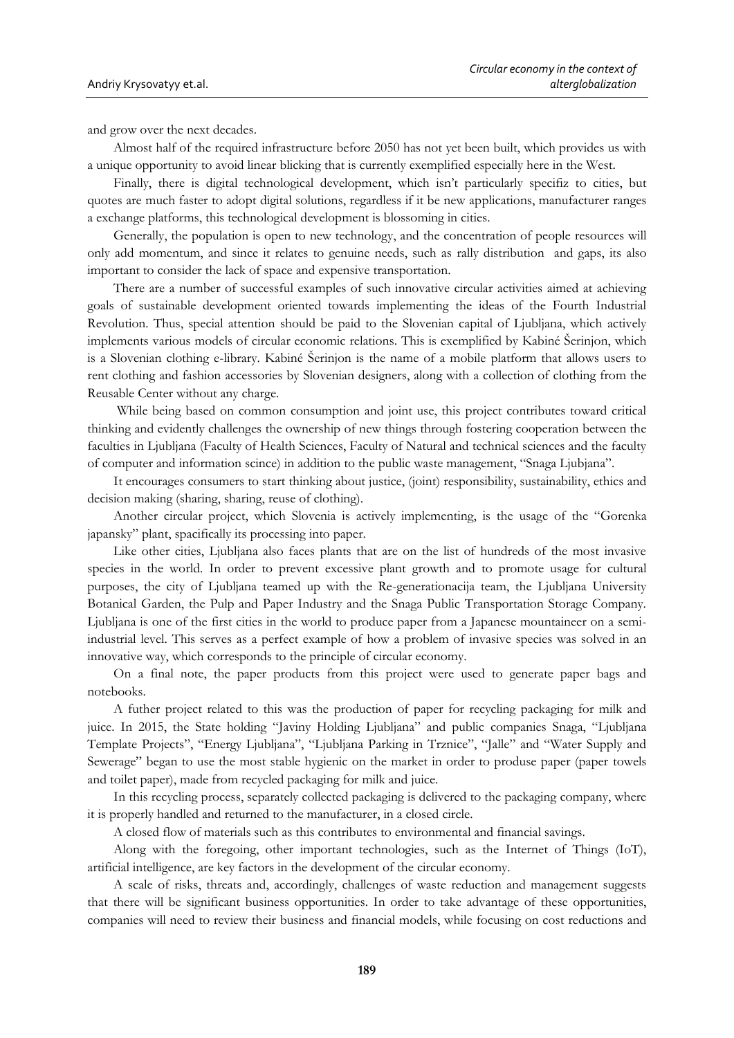and grow over the next decades.

Almost half of the required infrastructure before 2050 has not yet been built, which provides us with a unique opportunity to avoid linear blicking that is currently exemplified especially here in the West.

Finally, there is digital technological development, which isn't particularly specifiz to cities, but quotes are much faster to adopt digital solutions, regardless if it be new applications, manufacturer ranges a exchange platforms, this technological development is blossoming in cities.

Generally, the population is open to new technology, and the concentration of people resources will only add momentum, and since it relates to genuine needs, such as rally distribution and gaps, its also important to consider the lack of space and expensive transportation.

There are a number of successful examples of such innovative circular activities aimed at achieving goals of sustainable development oriented towards implementing the ideas of the Fourth Industrial Revolution. Thus, special attention should be paid to the Slovenian capital of Ljubljana, which actively implements various models of circular economic relations. This is exemplified by Kabiné Šerinjon, which is a Slovenian clothing e-library. Kabiné Šerinjon is the name of a mobile platform that allows users to rent clothing and fashion accessories by Slovenian designers, along with a collection of clothing from the Reusable Center without any charge.

While being based on common consumption and joint use, this project contributes toward critical thinking and evidently challenges the ownership of new things through fostering cooperation between the faculties in Ljubljana (Faculty of Health Sciences, Faculty of Natural and technical sciences and the faculty of computer and information scince) in addition to the public waste management, "Snaga Ljubjana".

It encourages consumers to start thinking about justice, (joint) responsibility, sustainability, ethics and decision making (sharing, sharing, reuse of clothing).

Another circular project, which Slovenia is actively implementing, is the usage of the "Gorenka japansky" plant, spacifically its processing into paper.

Like other cities, Ljubljana also faces plants that are on the list of hundreds of the most invasive species in the world. In order to prevent excessive plant growth and to promote usage for cultural purposes, the city of Ljubljana teamed up with the Re-generationacija team, the Ljubljana University Botanical Garden, the Pulp and Paper Industry and the Snaga Public Transportation Storage Company. Ljubljana is one of the first cities in the world to produce paper from a Japanese mountaineer on a semiindustrial level. This serves as a perfect example of how a problem of invasive species was solved in an innovative way, which corresponds to the principle of circular economy.

On a final note, the paper products from this project were used to generate paper bags and notebooks.

A futher project related to this was the production of paper for recycling packaging for milk and juice. In 2015, the State holding "Javiny Holding Ljubljana" and public companies Snaga, "Ljubljana Template Projects", "Energy Ljubljana", "Ljubljana Parking in Trznice", "Jalle" and "Water Supply and Sewerage" began to use the most stable hygienic on the market in order to produse paper (paper towels and toilet paper), made from recycled packaging for milk and juice.

In this recycling process, separately collected packaging is delivered to the packaging company, where it is properly handled and returned to the manufacturer, in a closed circle.

A closed flow of materials such as this contributes to environmental and financial savings.

Along with the foregoing, other important technologies, such as the Internet of Things (IoT), artificial intelligence, are key factors in the development of the circular economy.

A scale of risks, threats and, accordingly, challenges of waste reduction and management suggests that there will be significant business opportunities. In order to take advantage of these opportunities, companies will need to review their business and financial models, while focusing on cost reductions and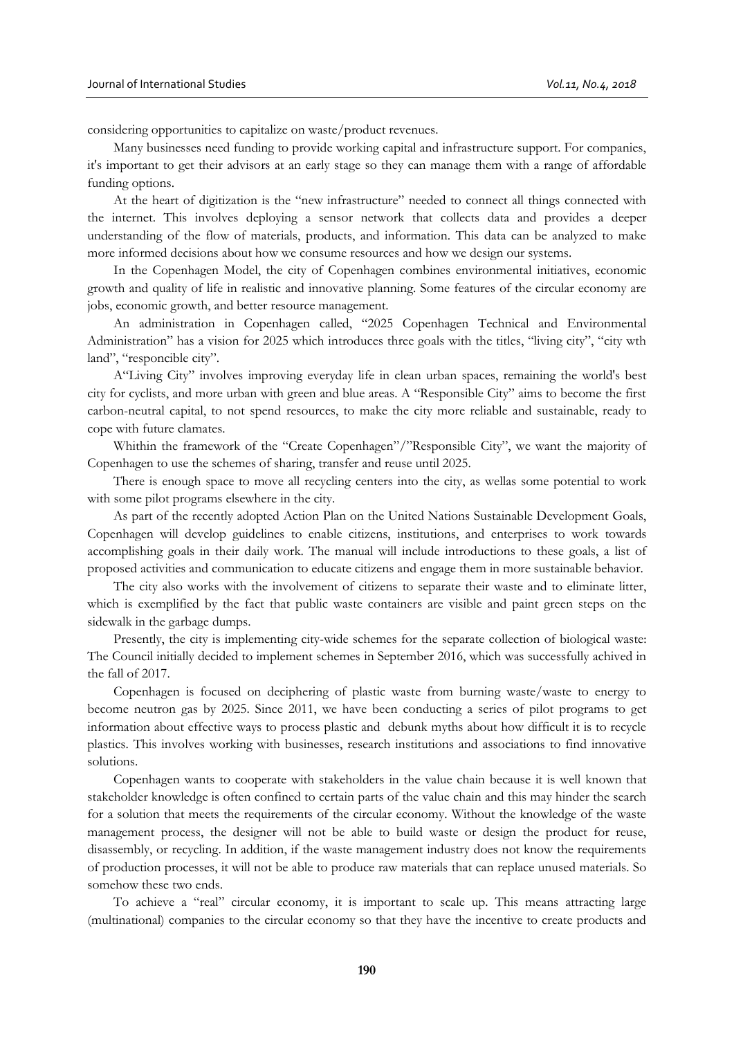considering opportunities to capitalize on waste/product revenues.

Many businesses need funding to provide working capital and infrastructure support. For companies, it's important to get their advisors at an early stage so they can manage them with a range of affordable funding options.

At the heart of digitization is the "new infrastructure" needed to connect all things connected with the internet. This involves deploying a sensor network that collects data and provides a deeper understanding of the flow of materials, products, and information. This data can be analyzed to make more informed decisions about how we consume resources and how we design our systems.

In the Copenhagen Model, the city of Copenhagen combines environmental initiatives, economic growth and quality of life in realistic and innovative planning. Some features of the circular economy are jobs, economic growth, and better resource management.

An administration in Copenhagen called, "2025 Copenhagen Technical and Environmental Administration" has a vision for 2025 which introduces three goals with the titles, "living city", "city wth land", "responcible city".

A"Living City" involves improving everyday life in clean urban spaces, remaining the world's best city for cyclists, and more urban with green and blue areas. A "Responsible City" aims to become the first carbon-neutral capital, to not spend resources, to make the city more reliable and sustainable, ready to cope with future clamates.

Whithin the framework of the "Create Copenhagen"/"Responsible City", we want the majority of Copenhagen to use the schemes of sharing, transfer and reuse until 2025.

There is enough space to move all recycling centers into the city, as wellas some potential to work with some pilot programs elsewhere in the city.

As part of the recently adopted Action Plan on the United Nations Sustainable Development Goals, Copenhagen will develop guidelines to enable citizens, institutions, and enterprises to work towards accomplishing goals in their daily work. The manual will include introductions to these goals, a list of proposed activities and communication to educate citizens and engage them in more sustainable behavior.

The city also works with the involvement of citizens to separate their waste and to eliminate litter, which is exemplified by the fact that public waste containers are visible and paint green steps on the sidewalk in the garbage dumps.

Presently, the city is implementing city-wide schemes for the separate collection of biological waste: The Council initially decided to implement schemes in September 2016, which was successfully achived in the fall of 2017.

Copenhagen is focused on deciphering of plastic waste from burning waste/waste to energy to become neutron gas by 2025. Since 2011, we have been conducting a series of pilot programs to get information about effective ways to process plastic and debunk myths about how difficult it is to recycle plastics. This involves working with businesses, research institutions and associations to find innovative solutions.

Copenhagen wants to cooperate with stakeholders in the value chain because it is well known that stakeholder knowledge is often confined to certain parts of the value chain and this may hinder the search for a solution that meets the requirements of the circular economy. Without the knowledge of the waste management process, the designer will not be able to build waste or design the product for reuse, disassembly, or recycling. In addition, if the waste management industry does not know the requirements of production processes, it will not be able to produce raw materials that can replace unused materials. So somehow these two ends.

To achieve a "real" circular economy, it is important to scale up. This means attracting large (multinational) companies to the circular economy so that they have the incentive to create products and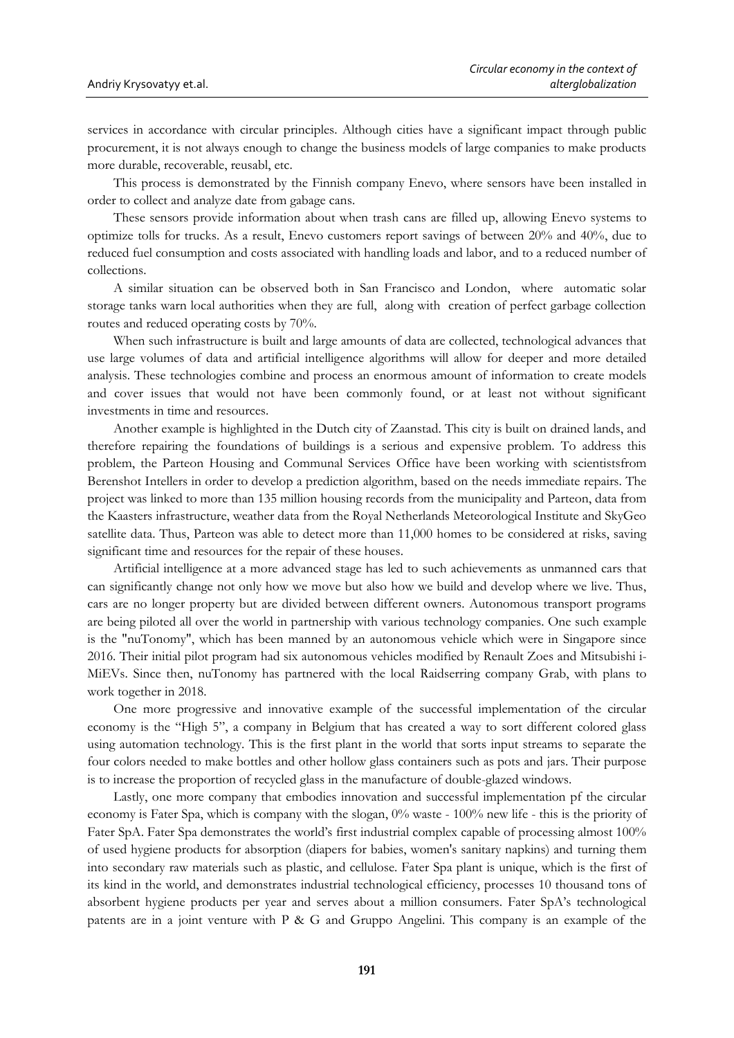services in accordance with circular principles. Although cities have a significant impact through public procurement, it is not always enough to change the business models of large companies to make products more durable, recoverable, reusabl, etc.

This process is demonstrated by the Finnish company Enevo, where sensors have been installed in order to collect and analyze date from gabage cans.

These sensors provide information about when trash cans are filled up, allowing Enevo systems to optimize tolls for trucks. As a result, Enevo customers report savings of between 20% and 40%, due to reduced fuel consumption and costs associated with handling loads and labor, and to a reduced number of collections.

A similar situation can be observed both in San Francisco and London, where automatic solar storage tanks warn local authorities when they are full, along with creation of perfect garbage collection routes and reduced operating costs by 70%.

When such infrastructure is built and large amounts of data are collected, technological advances that use large volumes of data and artificial intelligence algorithms will allow for deeper and more detailed analysis. These technologies combine and process an enormous amount of information to create models and cover issues that would not have been commonly found, or at least not without significant investments in time and resources.

Another example is highlighted in the Dutch city of Zaanstad. This city is built on drained lands, and therefore repairing the foundations of buildings is a serious and expensive problem. To address this problem, the Parteon Housing and Communal Services Office have been working with scientistsfrom Berenshot Intellers in order to develop a prediction algorithm, based on the needs immediate repairs. The project was linked to more than 135 million housing records from the municipality and Parteon, data from the Kaasters infrastructure, weather data from the Royal Netherlands Meteorological Institute and SkyGeo satellite data. Thus, Parteon was able to detect more than 11,000 homes to be considered at risks, saving significant time and resources for the repair of these houses.

Artificial intelligence at a more advanced stage has led to such achievements as unmanned cars that can significantly change not only how we move but also how we build and develop where we live. Thus, cars are no longer property but are divided between different owners. Autonomous transport programs are being piloted all over the world in partnership with various technology companies. One such example is the "nuTonomy", which has been manned by an autonomous vehicle which were in Singapore since 2016. Their initial pilot program had six autonomous vehicles modified by Renault Zoes and Mitsubishi i-MiEVs. Since then, nuTonomy has partnered with the local Raidserring company Grab, with plans to work together in 2018.

One more progressive and innovative example of the successful implementation of the circular economy is the "High 5", a company in Belgium that has created a way to sort different colored glass using automation technology. This is the first plant in the world that sorts input streams to separate the four colors needed to make bottles and other hollow glass containers such as pots and jars. Their purpose is to increase the proportion of recycled glass in the manufacture of double-glazed windows.

Lastly, one more company that embodies innovation and successful implementation pf the circular economy is Fater Spa, which is company with the slogan, 0% waste - 100% new life - this is the priority of Fater SpA. Fater Spa demonstrates the world's first industrial complex capable of processing almost 100% of used hygiene products for absorption (diapers for babies, women's sanitary napkins) and turning them into secondary raw materials such as plastic, and cellulose. Fater Spa plant is unique, which is the first of its kind in the world, and demonstrates industrial technological efficiency, processes 10 thousand tons of absorbent hygiene products per year and serves about a million consumers. Fater SpA's technological patents are in a joint venture with P & G and Gruppo Angelini. This company is an example of the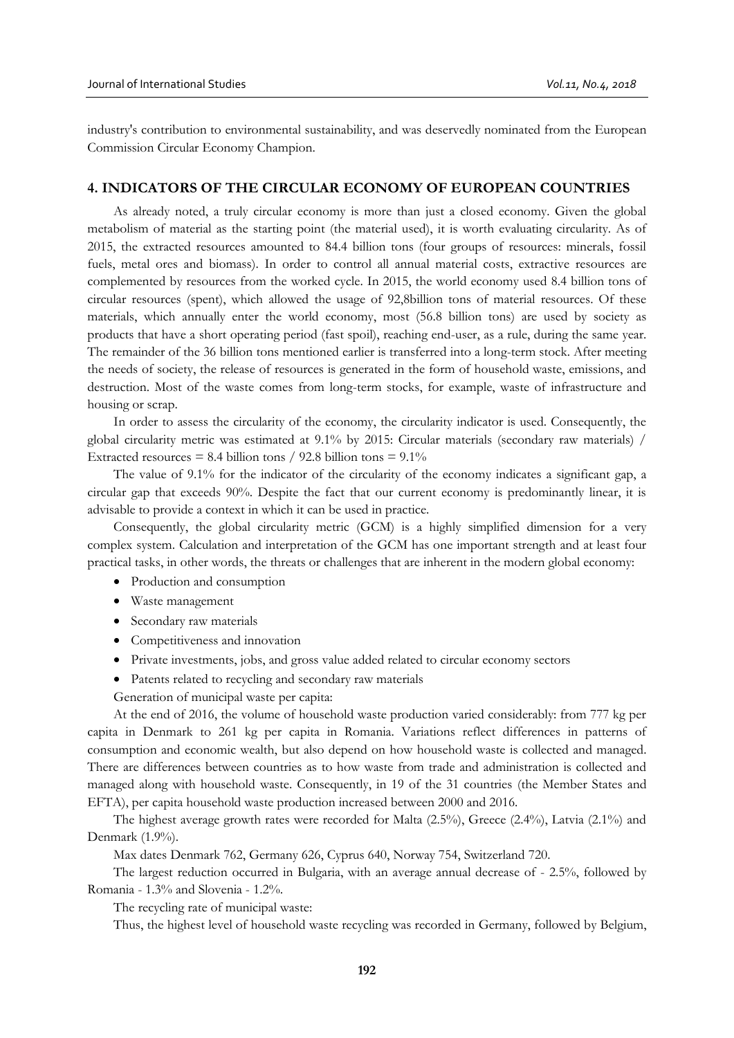industry's contribution to environmental sustainability, and was deservedly nominated from the European Commission Circular Economy Champion.

# **4. INDICATORS OF THE CIRCULAR ECONOMY OF EUROPEAN COUNTRIES**

As already noted, a truly circular economy is more than just a closed economy. Given the global metabolism of material as the starting point (the material used), it is worth evaluating circularity. As of 2015, the extracted resources amounted to 84.4 billion tons (four groups of resources: minerals, fossil fuels, metal ores and biomass). In order to control all annual material costs, extractive resources are complemented by resources from the worked cycle. In 2015, the world economy used 8.4 billion tons of circular resources (spent), which allowed the usage of 92,8billion tons of material resources. Of these materials, which annually enter the world economy, most (56.8 billion tons) are used by society as products that have a short operating period (fast spoil), reaching end-user, as a rule, during the same year. The remainder of the 36 billion tons mentioned earlier is transferred into a long-term stock. After meeting the needs of society, the release of resources is generated in the form of household waste, emissions, and destruction. Most of the waste comes from long-term stocks, for example, waste of infrastructure and housing or scrap.

In order to assess the circularity of the economy, the circularity indicator is used. Consequently, the global circularity metric was estimated at 9.1% by 2015: Circular materials (secondary raw materials) / Extracted resources = 8.4 billion tons / 92.8 billion tons =  $9.1\%$ 

The value of 9.1% for the indicator of the circularity of the economy indicates a significant gap, a circular gap that exceeds 90%. Despite the fact that our current economy is predominantly linear, it is advisable to provide a context in which it can be used in practice.

Consequently, the global circularity metric (GCM) is a highly simplified dimension for a very complex system. Calculation and interpretation of the GCM has one important strength and at least four practical tasks, in other words, the threats or challenges that are inherent in the modern global economy:

- Production and consumption
- Waste management
- Secondary raw materials
- Competitiveness and innovation
- Private investments, jobs, and gross value added related to circular economy sectors
- Patents related to recycling and secondary raw materials
- Generation of municipal waste per capita:

At the end of 2016, the volume of household waste production varied considerably: from 777 kg per capita in Denmark to 261 kg per capita in Romania. Variations reflect differences in patterns of consumption and economic wealth, but also depend on how household waste is collected and managed. There are differences between countries as to how waste from trade and administration is collected and managed along with household waste. Consequently, in 19 of the 31 countries (the Member States and EFTA), per capita household waste production increased between 2000 and 2016.

The highest average growth rates were recorded for Malta (2.5%), Greece (2.4%), Latvia (2.1%) and Denmark (1.9%).

Max dates Denmark 762, Germany 626, Cyprus 640, Norway 754, Switzerland 720.

The largest reduction occurred in Bulgaria, with an average annual decrease of - 2.5%, followed by Romania - 1.3% and Slovenia - 1.2%.

The recycling rate of municipal waste:

Thus, the highest level of household waste recycling was recorded in Germany, followed by Belgium,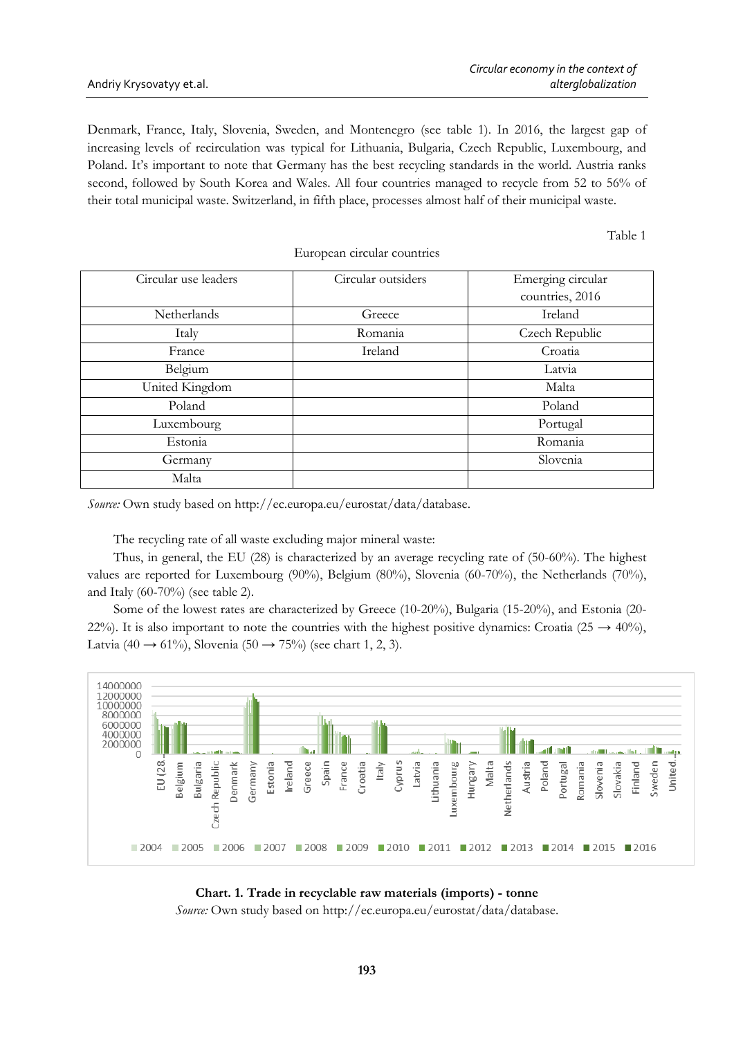Denmark, France, Italy, Slovenia, Sweden, and Montenegro (see table 1). In 2016, the largest gap of increasing levels of recirculation was typical for Lithuania, Bulgaria, Czech Republic, Luxembourg, and Poland. It's important to note that Germany has the best recycling standards in the world. Austria ranks second, followed by South Korea and Wales. All four countries managed to recycle from 52 to 56% of their total municipal waste. Switzerland, in fifth place, processes almost half of their municipal waste.

Table 1

| Circular use leaders | Circular outsiders | Emerging circular |  |
|----------------------|--------------------|-------------------|--|
|                      |                    | countries, 2016   |  |
| Netherlands          | Greece             | Ireland           |  |
| Italy                | Romania            | Czech Republic    |  |
| France               | Ireland            | Croatia           |  |
| Belgium              |                    | Latvia            |  |
| United Kingdom       |                    | Malta             |  |
| Poland               |                    | Poland            |  |
| Luxembourg           |                    | Portugal          |  |
| Estonia              |                    | Romania           |  |
| Germany              |                    | Slovenia          |  |
| Malta                |                    |                   |  |

European circular countries

*Source:* Own study based on http://ec.europa.eu/eurostat/data/database.

The recycling rate of all waste excluding major mineral waste:

Thus, in general, the EU (28) is characterized by an average recycling rate of (50-60%). The highest values are reported for Luxembourg (90%), Belgium (80%), Slovenia (60-70%), the Netherlands (70%), and Italy (60-70%) (see table 2).

Some of the lowest rates are characterized by Greece (10-20%), Bulgaria (15-20%), and Estonia (20- 22%). It is also important to note the countries with the highest positive dynamics: Croatia (25  $\rightarrow$  40%), Latvia (40  $\rightarrow$  61%), Slovenia (50  $\rightarrow$  75%) (see chart 1, 2, 3).



### **Chart. 1. Trade in recyclable raw materials (imports) - tonne**

*Source:* Own study based on http://ec.europa.eu/eurostat/data/database.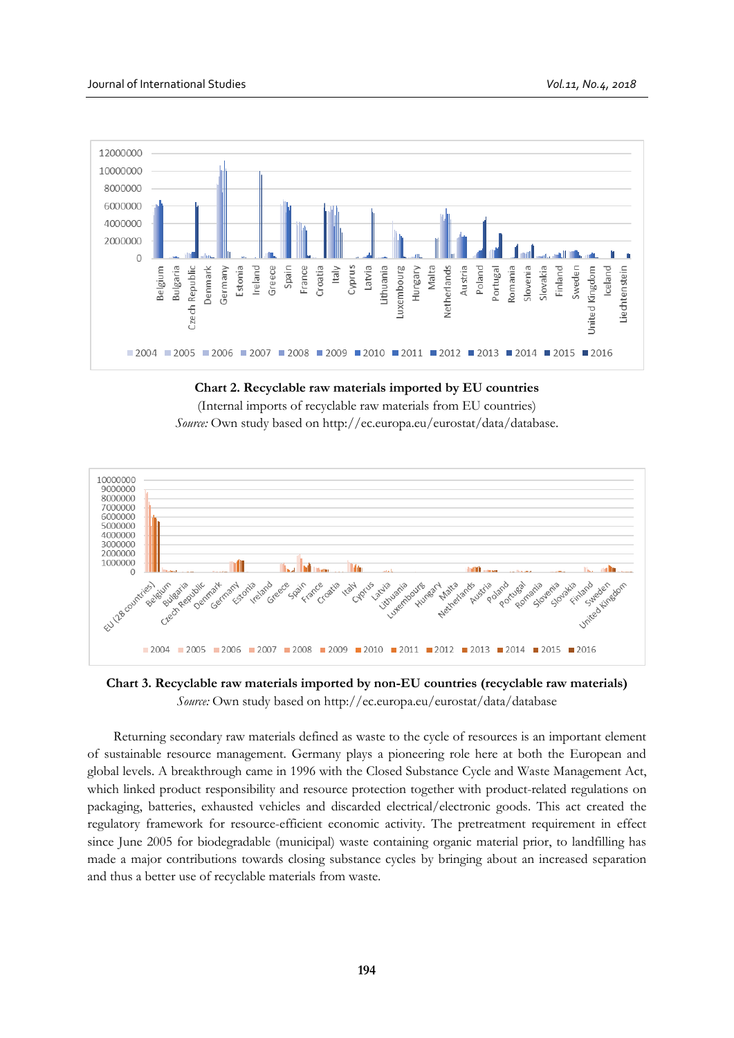

# **Chart 2. Recyclable raw materials imported by EU countries**

(Internal imports of recyclable raw materials from EU countries) *Source:* Own study based on http://ec.europa.eu/eurostat/data/database.



**Chart 3. Recyclable raw materials imported by non-EU countries (recyclable raw materials)** *Source:* Own study based on http://ec.europa.eu/eurostat/data/database

Returning secondary raw materials defined as waste to the cycle of resources is an important element of sustainable resource management. Germany plays a pioneering role here at both the European and global levels. A breakthrough came in 1996 with the Closed Substance Cycle and Waste Management Act, which linked product responsibility and resource protection together with product-related regulations on packaging, batteries, exhausted vehicles and discarded electrical/electronic goods. This act created the regulatory framework for resource-efficient economic activity. The pretreatment requirement in effect since June 2005 for biodegradable (municipal) waste containing organic material prior, to landfilling has made a major contributions towards closing substance cycles by bringing about an increased separation and thus a better use of recyclable materials from waste.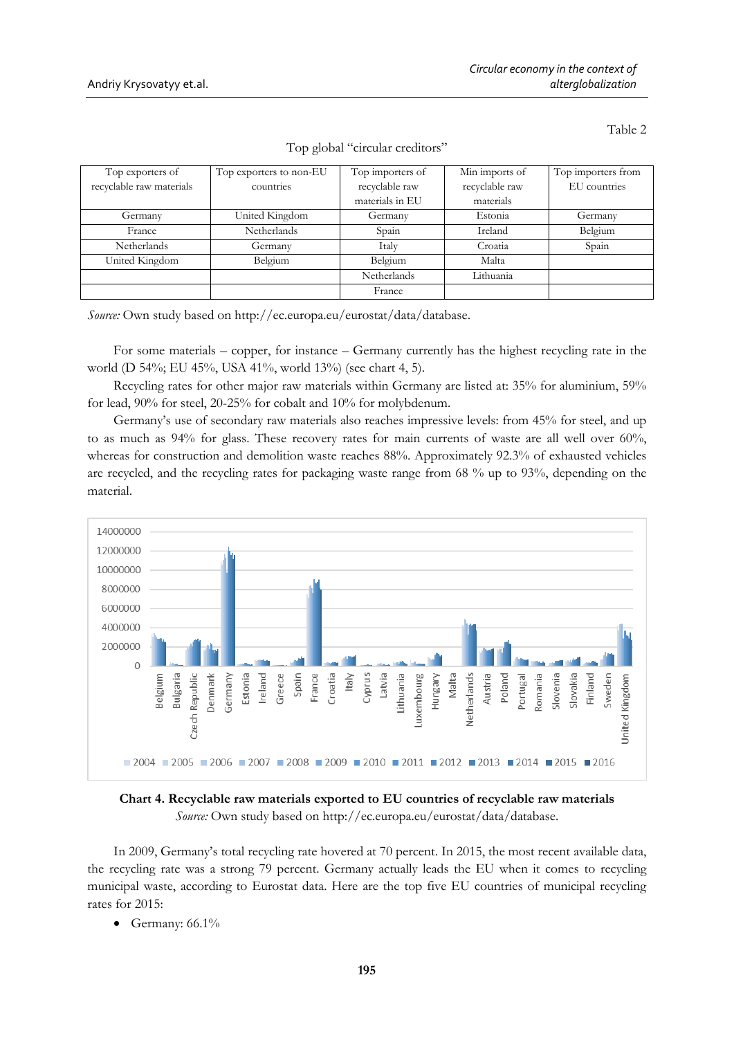Table 2

| Top exporters of         | Top exporters to non-EU | Top importers of   | Min imports of | Top importers from |
|--------------------------|-------------------------|--------------------|----------------|--------------------|
| recyclable raw materials | countries               | recyclable raw     | recyclable raw | EU countries       |
|                          |                         | materials in EU    | materials      |                    |
| Germany                  | United Kingdom          | Germany            | Estonia        | Germany            |
| France                   | Netherlands             | Spain              | Ireland        | Belgium            |
| <b>Netherlands</b>       | Germany                 | Italy              | Croatia        | Spain              |
| United Kingdom           | Belgium                 | Belgium            | Malta          |                    |
|                          |                         | <b>Netherlands</b> | Lithuania      |                    |
|                          |                         | France             |                |                    |

Top global "circular creditors"

*Source:* Own study based on http://ec.europa.eu/eurostat/data/database.

For some materials – copper, for instance – Germany currently has the highest recycling rate in the world (D 54%; EU 45%, USA 41%, world 13%) (see chart 4, 5).

Recycling rates for other major raw materials within Germany are listed at: 35% for aluminium, 59% for lead, 90% for steel, 20-25% for cobalt and 10% for molybdenum.

Germany's use of secondary raw materials also reaches impressive levels: from 45% for steel, and up to as much as 94% for glass. These recovery rates for main currents of waste are all well over 60%, whereas for construction and demolition waste reaches 88%. Approximately 92.3% of exhausted vehicles are recycled, and the recycling rates for packaging waste range from 68 % up to 93%, depending on the material.



**Chart 4. Recyclable raw materials exported to EU countries of recyclable raw materials** *Source:* Own study based on http://ec.europa.eu/eurostat/data/database.

In 2009, Germany's total recycling rate hovered at 70 percent. In 2015, the most recent available data, the recycling rate was a strong 79 percent. Germany actually leads the EU when it comes to recycling municipal waste, according to Eurostat data. Here are the top five EU countries of municipal recycling rates for 2015:

• Germany:  $66.1\%$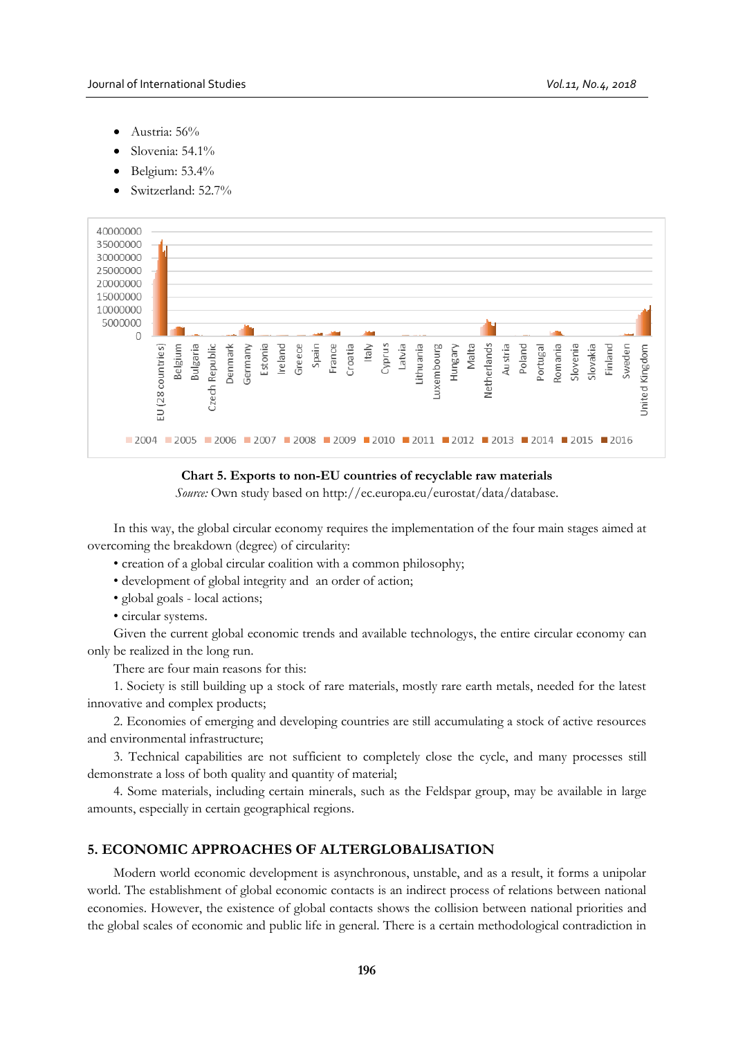- Austria: 56%
- Slovenia: 54.1%
- Belgium: 53.4%
- Switzerland: 52.7%



# **Chart 5. Exports to non-EU countries of recyclable raw materials**

*Source:* Own study based on http://ec.europa.eu/eurostat/data/database.

In this way, the global circular economy requires the implementation of the four main stages aimed at overcoming the breakdown (degree) of circularity:

- creation of a global circular coalition with a common philosophy;
- development of global integrity and an order of action;
- global goals local actions;
- circular systems.

Given the current global economic trends and available technologys, the entire circular economy can only be realized in the long run.

There are four main reasons for this:

1. Society is still building up a stock of rare materials, mostly rare earth metals, needed for the latest innovative and complex products;

2. Economies of emerging and developing countries are still accumulating a stock of active resources and environmental infrastructure;

3. Technical capabilities are not sufficient to completely close the cycle, and many processes still demonstrate a loss of both quality and quantity of material;

4. Some materials, including certain minerals, such as the Feldspar group, may be available in large amounts, especially in certain geographical regions.

# **5. ECONOMIC APPROACHES OF ALTERGLOBALISATION**

Modern world economic development is asynchronous, unstable, and as a result, it forms a unipolar world. The establishment of global economic contacts is an indirect process of relations between national economies. However, the existence of global contacts shows the collision between national priorities and the global scales of economic and public life in general. There is a certain methodological contradiction in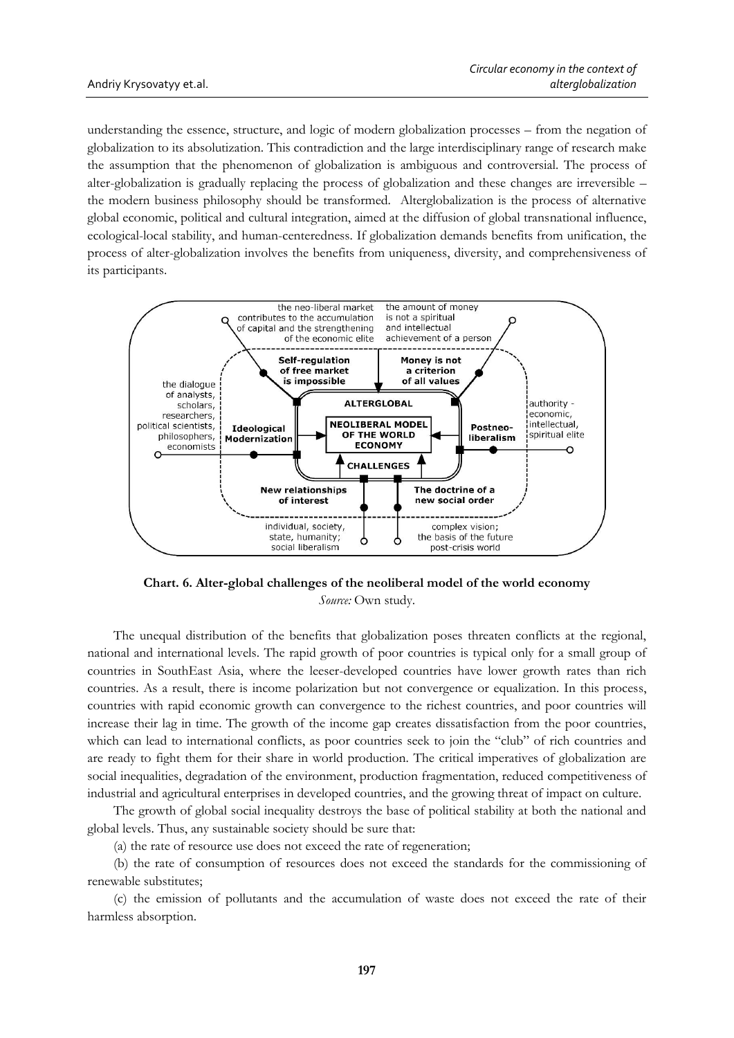understanding the essence, structure, and logic of modern globalization processes – from the negation of globalization to its absolutization. This contradiction and the large interdisciplinary range of research make the assumption that the phenomenon of globalization is ambiguous and controversial. The process of alter-globalization is gradually replacing the process of globalization and these changes are irreversible – the modern business philosophy should be transformed. Alterglobalization is the process of alternative global economic, political and cultural integration, aimed at the diffusion of global transnational influence, ecological-local stability, and human-centeredness. If globalization demands benefits from unification, the process of alter-globalization involves the benefits from uniqueness, diversity, and comprehensiveness of its participants.



**Chart. 6. Alter-global challenges of the neoliberal model of the world economy** *Source:* Own study.

The unequal distribution of the benefits that globalization poses threaten conflicts at the regional, national and international levels. The rapid growth of poor countries is typical only for a small group of countries in SouthEast Asia, where the leeser-developed countries have lower growth rates than rich countries. As a result, there is income polarization but not convergence or equalization. In this process, countries with rapid economic growth can convergence to the richest countries, and poor countries will increase their lag in time. The growth of the income gap creates dissatisfaction from the poor countries, which can lead to international conflicts, as poor countries seek to join the "club" of rich countries and are ready to fight them for their share in world production. The critical imperatives of globalization are social inequalities, degradation of the environment, production fragmentation, reduced competitiveness of industrial and agricultural enterprises in developed countries, and the growing threat of impact on culture.

The growth of global social inequality destroys the base of political stability at both the national and global levels. Thus, any sustainable society should be sure that:

(a) the rate of resource use does not exceed the rate of regeneration;

(b) the rate of consumption of resources does not exceed the standards for the commissioning of renewable substitutes;

(c) the emission of pollutants and the accumulation of waste does not exceed the rate of their harmless absorption.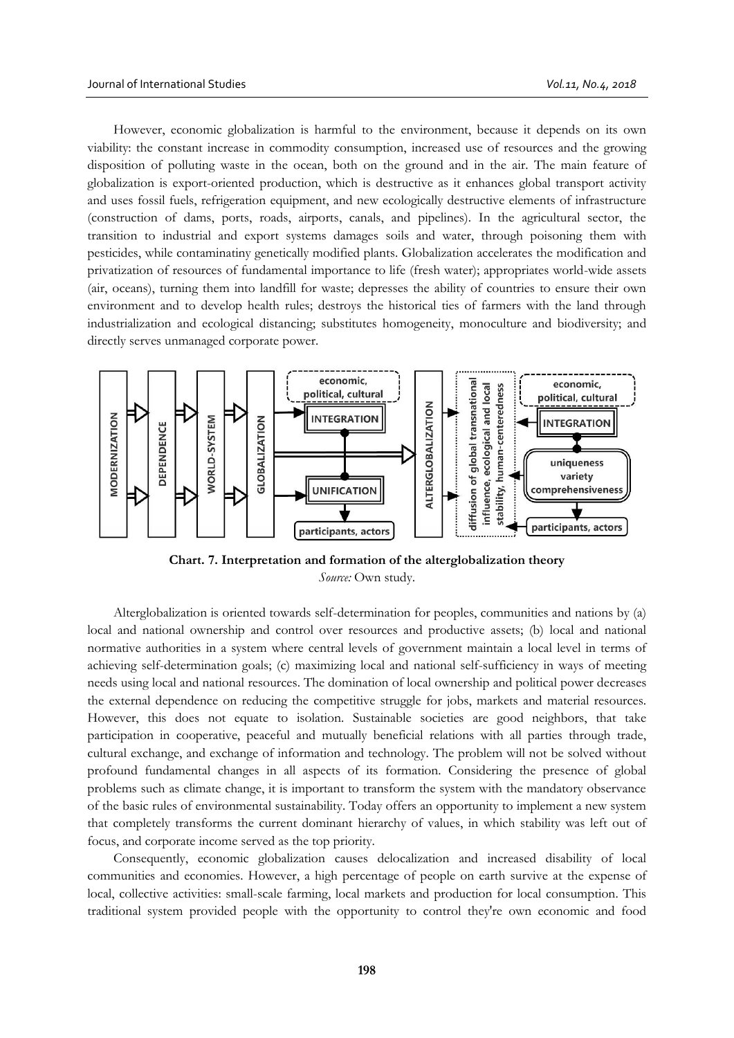However, economic globalization is harmful to the environment, because it depends on its own viability: the constant increase in commodity consumption, increased use of resources and the growing disposition of polluting waste in the ocean, both on the ground and in the air. The main feature of globalization is export-oriented production, which is destructive as it enhances global transport activity and uses fossil fuels, refrigeration equipment, and new ecologically destructive elements of infrastructure (construction of dams, ports, roads, airports, canals, and pipelines). In the agricultural sector, the transition to industrial and export systems damages soils and water, through poisoning them with pesticides, while contaminatiny genetically modified plants. Globalization accelerates the modification and privatization of resources of fundamental importance to life (fresh water); appropriates world-wide assets (air, oceans), turning them into landfill for waste; depresses the ability of countries to ensure their own environment and to develop health rules; destroys the historical ties of farmers with the land through industrialization and ecological distancing; substitutes homogeneity, monoculture and biodiversity; and directly serves unmanaged corporate power.



**Chart. 7. Interpretation and formation of the alterglobalization theory** *Source:* Own study.

Alterglobalization is oriented towards self-determination for peoples, communities and nations by (a) local and national ownership and control over resources and productive assets; (b) local and national normative authorities in a system where central levels of government maintain a local level in terms of achieving self-determination goals; (c) maximizing local and national self-sufficiency in ways of meeting needs using local and national resources. The domination of local ownership and political power decreases the external dependence on reducing the competitive struggle for jobs, markets and material resources. However, this does not equate to isolation. Sustainable societies are good neighbors, that take participation in cooperative, peaceful and mutually beneficial relations with all parties through trade, cultural exchange, and exchange of information and technology. The problem will not be solved without profound fundamental changes in all aspects of its formation. Considering the presence of global problems such as climate change, it is important to transform the system with the mandatory observance of the basic rules of environmental sustainability. Today offers an opportunity to implement a new system that completely transforms the current dominant hierarchy of values, in which stability was left out of focus, and corporate income served as the top priority.

Consequently, economic globalization causes delocalization and increased disability of local communities and economies. However, a high percentage of people on earth survive at the expense of local, collective activities: small-scale farming, local markets and production for local consumption. This traditional system provided people with the opportunity to control they're own economic and food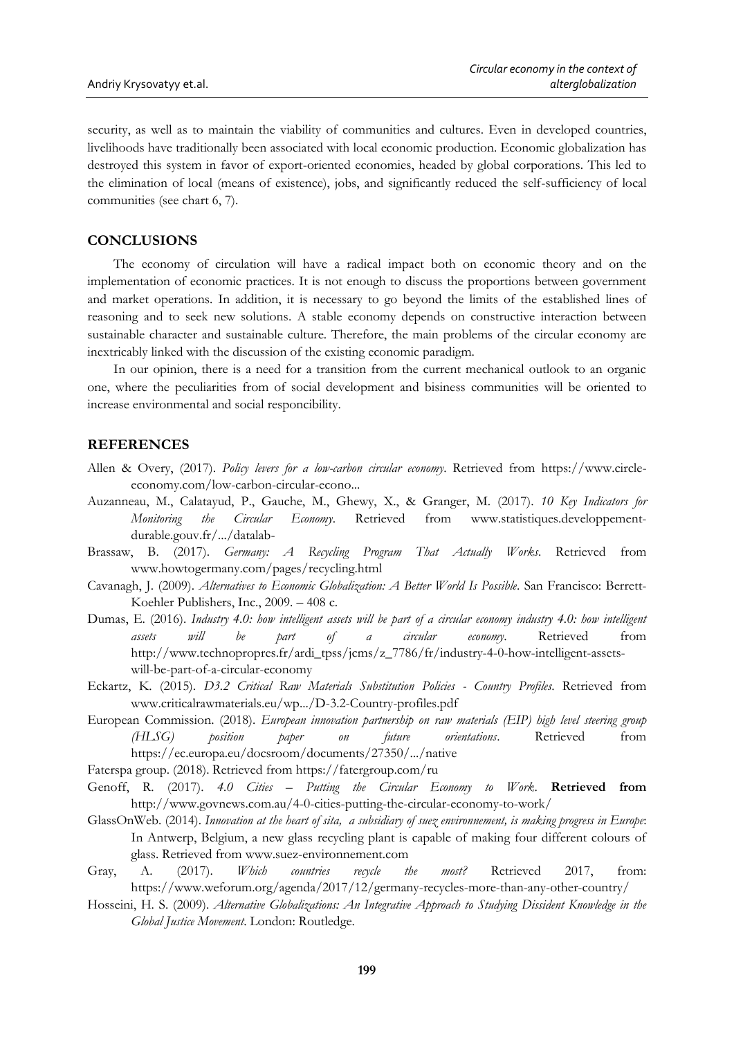security, as well as to maintain the viability of communities and cultures. Even in developed countries, livelihoods have traditionally been associated with local economic production. Economic globalization has destroyed this system in favor of export-oriented economies, headed by global corporations. This led to the elimination of local (means of existence), jobs, and significantly reduced the self-sufficiency of local communities (see chart 6, 7).

# **CONCLUSIONS**

The economy of circulation will have a radical impact both on economic theory and on the implementation of economic practices. It is not enough to discuss the proportions between government and market operations. In addition, it is necessary to go beyond the limits of the established lines of reasoning and to seek new solutions. A stable economy depends on constructive interaction between sustainable character and sustainable culture. Therefore, the main problems of the circular economy are inextricably linked with the discussion of the existing economic paradigm.

In our opinion, there is a need for a transition from the current mechanical outlook to an organic one, where the peculiarities from of social development and bisiness communities will be oriented to increase environmental and social responcibility.

#### **REFERENCES**

- Allen & Overy, (2017). *Policy levers for a low-carbon circular economy*. Retrieved from [https://www.circle](https://www.circle-economy.com/low-carbon-circular-econo)[economy.com/low-carbon-circular-econo.](https://www.circle-economy.com/low-carbon-circular-econo)..
- Auzanneau, M., Calatayud, P., Gauche, M., Ghewy, X., & Granger, M. (2017). *10 Key Indicators for Monitoring the Circular Economy*. Retrieved from [www.statistiques.developpement](http://www.statistiques.developpement-durable.gouv.fr/.../datalab-)[durable.gouv.fr/.../datalab-](http://www.statistiques.developpement-durable.gouv.fr/.../datalab-)
- Brassaw, B. (2017). *Germany: A Recycling Program That Actually Works*. Retrieved from [www.howtogermany.com/pages/recycling.html](http://www.howtogermany.com/pages/recycling.html)
- Cavanagh, J. (2009). *Alternatives to Economic Globalization: A Better World Is Possible*. San Francisco: Berrett-Koehler Publishers, Inc., 2009. – 408 с.
- Dumas, E. (2016). *Industry 4.0: how intelligent assets will be part of a circular economy industry 4.0: how intelligent assets will be part of a circular economy*. Retrieved from [http://www.technopropres.fr/ardi\\_tpss/jcms/z\\_7786/fr/industry-4-0-how-intelligent-assets](http://www.technopropres.fr/ardi_tpss/jcms/z_7786/fr/industry-4-0-how-intelligent-assets-will-be-part-of-a-circular-economy)[will-be-part-of-a-circular-economy](http://www.technopropres.fr/ardi_tpss/jcms/z_7786/fr/industry-4-0-how-intelligent-assets-will-be-part-of-a-circular-economy)
- Eckartz, K. (2015). *D3.2 Critical Raw Materials Substitution Policies - Country Profiles*. Retrieved from [www.criticalrawmaterials.eu/wp.../D-3.2-Country-profiles.pdf](http://www.criticalrawmaterials.eu/wp.../D-3.2-Country-profiles.pd)
- European Commission. (2018). *European innovation partnership on raw materials (EIP) high level steering group (HLSG) position paper on future orientations*. Retrieved from <https://ec.europa.eu/docsroom/documents/27350/.../native>

Faterspa group. (2018). Retrieved from<https://fatergroup.com/ru>

- Genoff, R. (2017). *4.0 Cities – Putting the Circular Economy to Work*. **Retrieved from**  <http://www.govnews.com.au/4-0-cities-putting-the-circular-economy-to-work/>
- GlassOnWeb. (2014). *Innovation at the heart of sita, a subsidiary of suez environnement, is making progress in Europe*: In Antwerp, Belgium, a new glass recycling plant is capable of making four different colours of glass. Retrieved from [www.suez-environnement.com](http://www.suez-environnement.com/)
- Gray, A. (2017). *Which countries recycle the most?* Retrieved 2017, from: <https://www.weforum.org/agenda/2017/12/germany-recycles-more-than-any-other-country/>
- Hosseini, H. S. (2009). *Alternative Globalizations: An Integrative Approach to Studying Dissident Knowledge in the Global Justice Movement*. London: Routledge.